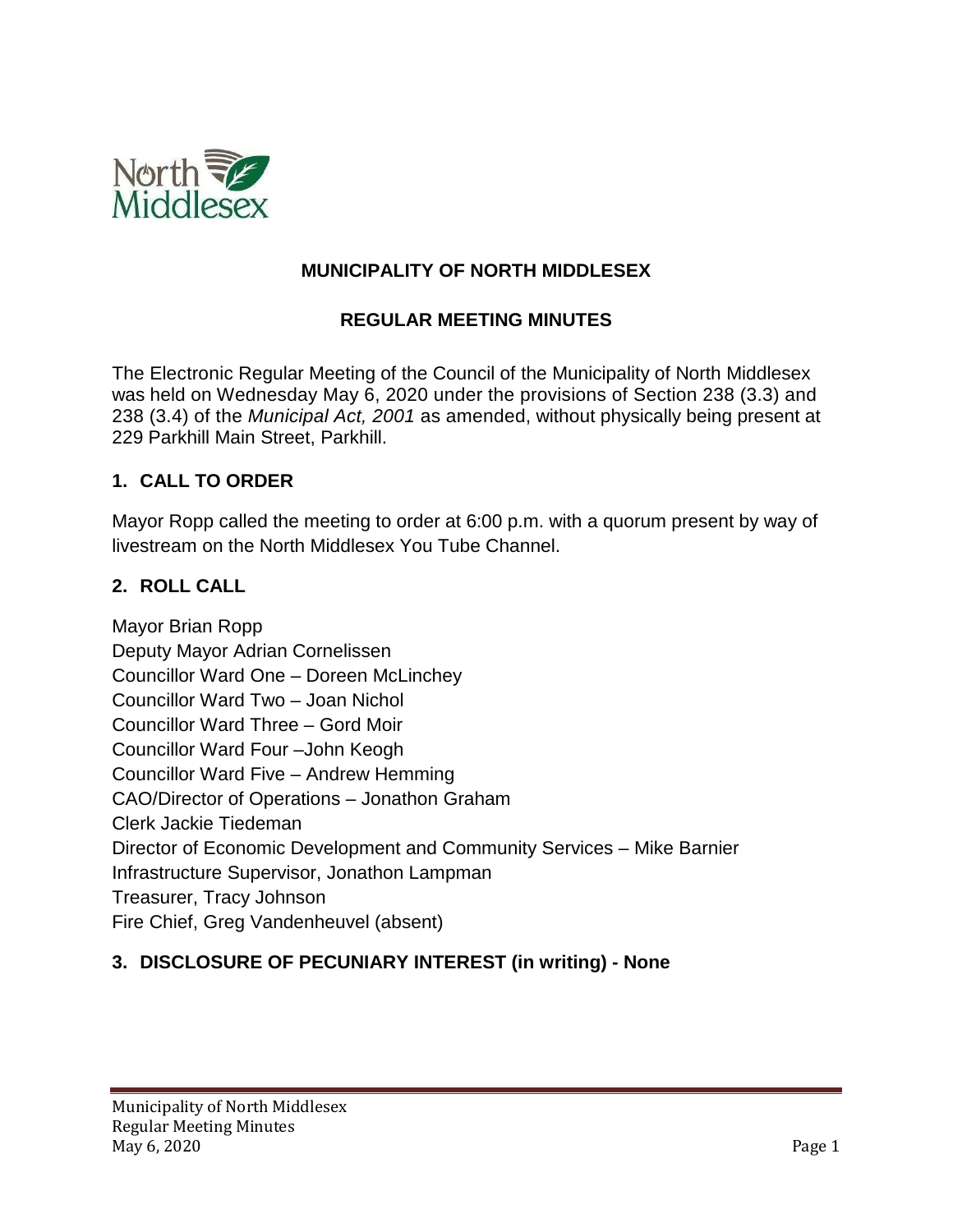

## **MUNICIPALITY OF NORTH MIDDLESEX**

## **REGULAR MEETING MINUTES**

The Electronic Regular Meeting of the Council of the Municipality of North Middlesex was held on Wednesday May 6, 2020 under the provisions of Section 238 (3.3) and 238 (3.4) of the *Municipal Act, 2001* as amended, without physically being present at 229 Parkhill Main Street, Parkhill.

## **1. CALL TO ORDER**

Mayor Ropp called the meeting to order at 6:00 p.m. with a quorum present by way of livestream on the North Middlesex You Tube Channel.

## **2. ROLL CALL**

Mayor Brian Ropp Deputy Mayor Adrian Cornelissen Councillor Ward One – Doreen McLinchey Councillor Ward Two – Joan Nichol Councillor Ward Three – Gord Moir Councillor Ward Four –John Keogh Councillor Ward Five – Andrew Hemming CAO/Director of Operations – Jonathon Graham Clerk Jackie Tiedeman Director of Economic Development and Community Services – Mike Barnier Infrastructure Supervisor, Jonathon Lampman Treasurer, Tracy Johnson Fire Chief, Greg Vandenheuvel (absent)

# **3. DISCLOSURE OF PECUNIARY INTEREST (in writing) - None**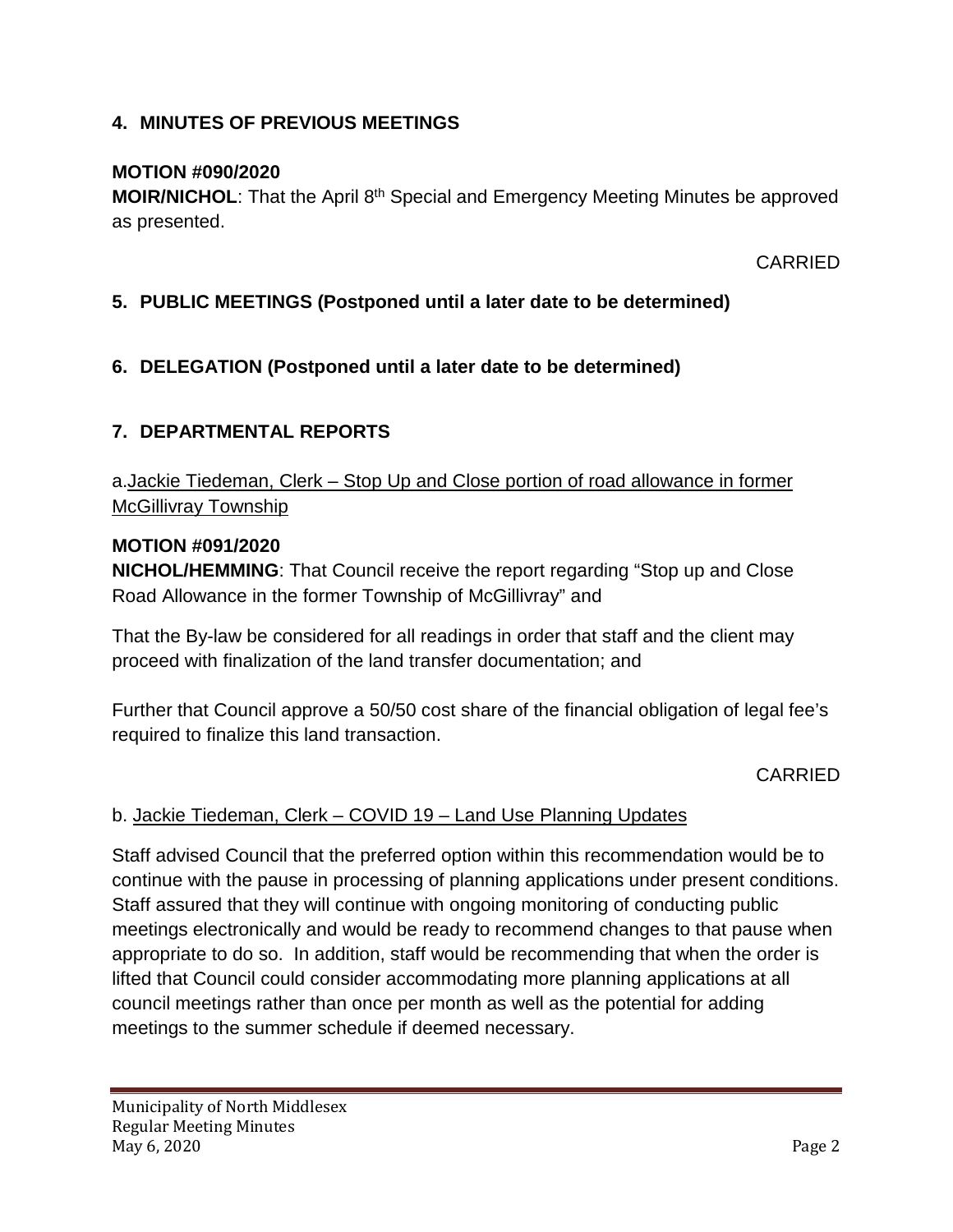## **4. MINUTES OF PREVIOUS MEETINGS**

## **MOTION #090/2020**

**MOIR/NICHOL:** That the April 8<sup>th</sup> Special and Emergency Meeting Minutes be approved as presented.

CARRIED

## **5. PUBLIC MEETINGS (Postponed until a later date to be determined)**

## **6. DELEGATION (Postponed until a later date to be determined)**

## **7. DEPARTMENTAL REPORTS**

a.Jackie Tiedeman, Clerk – Stop Up and Close portion of road allowance in former McGillivray Township

#### **MOTION #091/2020**

**NICHOL/HEMMING**: That Council receive the report regarding "Stop up and Close Road Allowance in the former Township of McGillivray" and

That the By-law be considered for all readings in order that staff and the client may proceed with finalization of the land transfer documentation; and

Further that Council approve a 50/50 cost share of the financial obligation of legal fee's required to finalize this land transaction.

CARRIED

## b. Jackie Tiedeman, Clerk – COVID 19 – Land Use Planning Updates

Staff advised Council that the preferred option within this recommendation would be to continue with the pause in processing of planning applications under present conditions. Staff assured that they will continue with ongoing monitoring of conducting public meetings electronically and would be ready to recommend changes to that pause when appropriate to do so. In addition, staff would be recommending that when the order is lifted that Council could consider accommodating more planning applications at all council meetings rather than once per month as well as the potential for adding meetings to the summer schedule if deemed necessary.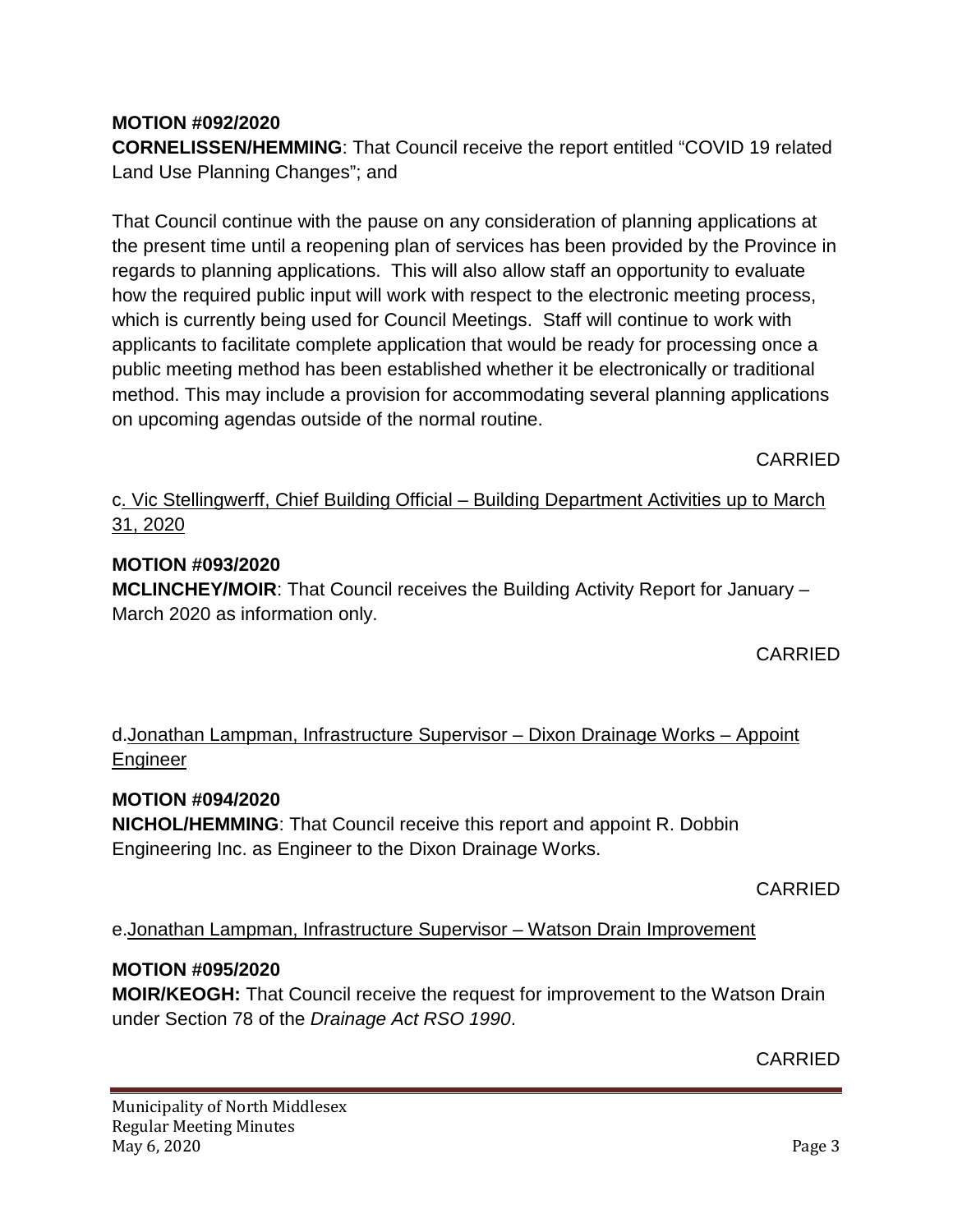# **MOTION #092/2020**

**CORNELISSEN/HEMMING**: That Council receive the report entitled "COVID 19 related Land Use Planning Changes"; and

That Council continue with the pause on any consideration of planning applications at the present time until a reopening plan of services has been provided by the Province in regards to planning applications. This will also allow staff an opportunity to evaluate how the required public input will work with respect to the electronic meeting process, which is currently being used for Council Meetings. Staff will continue to work with applicants to facilitate complete application that would be ready for processing once a public meeting method has been established whether it be electronically or traditional method. This may include a provision for accommodating several planning applications on upcoming agendas outside of the normal routine.

CARRIED

## c. Vic Stellingwerff, Chief Building Official – Building Department Activities up to March 31, 2020

## **MOTION #093/2020**

**MCLINCHEY/MOIR**: That Council receives the Building Activity Report for January – March 2020 as information only.

**CARRIED** 

# d.Jonathan Lampman, Infrastructure Supervisor – Dixon Drainage Works – Appoint Engineer

## **MOTION #094/2020**

**NICHOL/HEMMING**: That Council receive this report and appoint R. Dobbin Engineering Inc. as Engineer to the Dixon Drainage Works.

CARRIED

e.Jonathan Lampman, Infrastructure Supervisor – Watson Drain Improvement

## **MOTION #095/2020**

**MOIR/KEOGH:** That Council receive the request for improvement to the Watson Drain under Section 78 of the *Drainage Act RSO 1990*.

CARRIED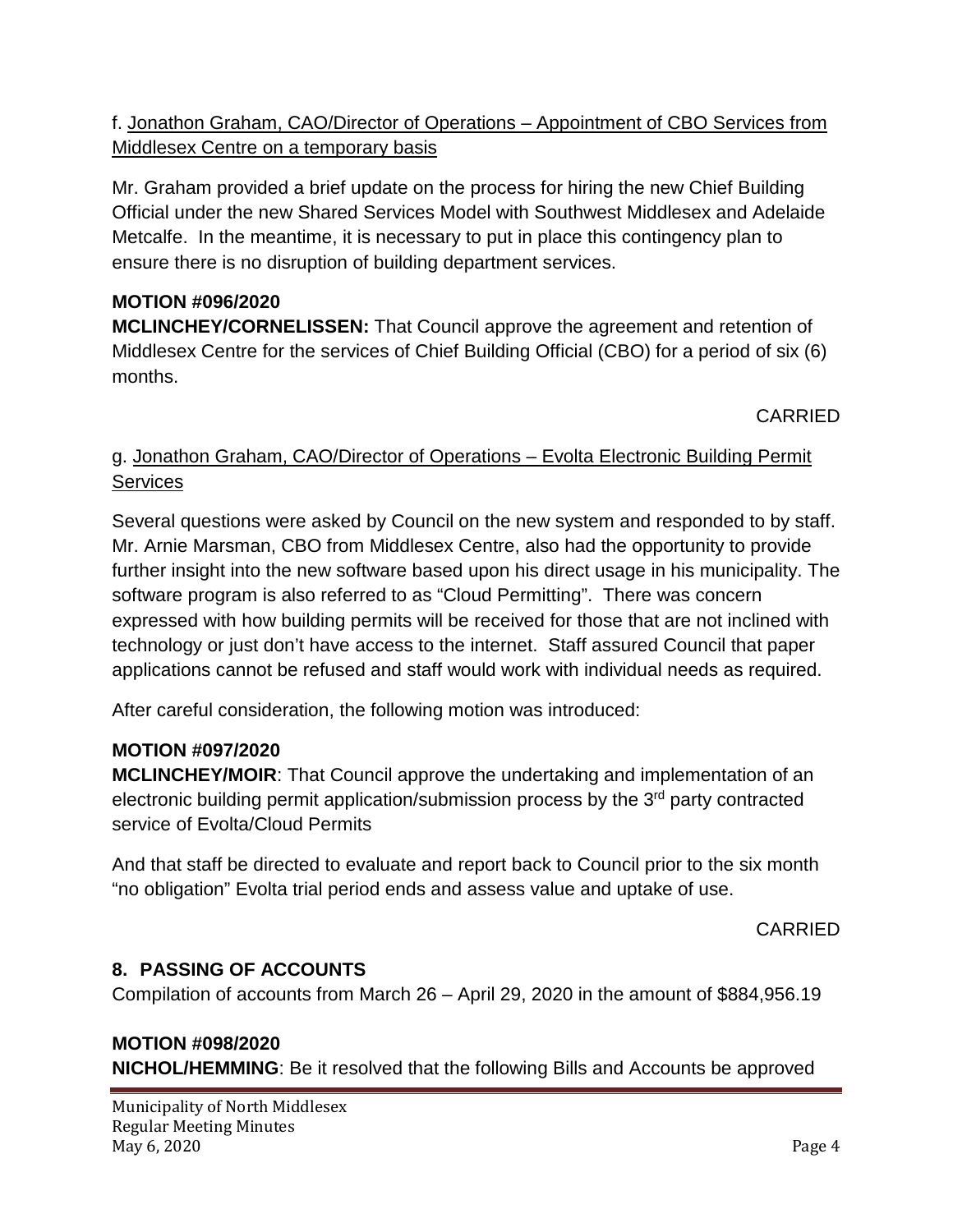# f. Jonathon Graham, CAO/Director of Operations – Appointment of CBO Services from Middlesex Centre on a temporary basis

Mr. Graham provided a brief update on the process for hiring the new Chief Building Official under the new Shared Services Model with Southwest Middlesex and Adelaide Metcalfe. In the meantime, it is necessary to put in place this contingency plan to ensure there is no disruption of building department services.

# **MOTION #096/2020**

**MCLINCHEY/CORNELISSEN:** That Council approve the agreement and retention of Middlesex Centre for the services of Chief Building Official (CBO) for a period of six (6) months.

CARRIED

# g. Jonathon Graham, CAO/Director of Operations – Evolta Electronic Building Permit **Services**

Several questions were asked by Council on the new system and responded to by staff. Mr. Arnie Marsman, CBO from Middlesex Centre, also had the opportunity to provide further insight into the new software based upon his direct usage in his municipality. The software program is also referred to as "Cloud Permitting". There was concern expressed with how building permits will be received for those that are not inclined with technology or just don't have access to the internet. Staff assured Council that paper applications cannot be refused and staff would work with individual needs as required.

After careful consideration, the following motion was introduced:

## **MOTION #097/2020**

**MCLINCHEY/MOIR**: That Council approve the undertaking and implementation of an electronic building permit application/submission process by the 3<sup>rd</sup> party contracted service of Evolta/Cloud Permits

And that staff be directed to evaluate and report back to Council prior to the six month "no obligation" Evolta trial period ends and assess value and uptake of use.

CARRIED

# **8. PASSING OF ACCOUNTS**

Compilation of accounts from March 26 – April 29, 2020 in the amount of \$884,956.19

# **MOTION #098/2020**

**NICHOL/HEMMING**: Be it resolved that the following Bills and Accounts be approved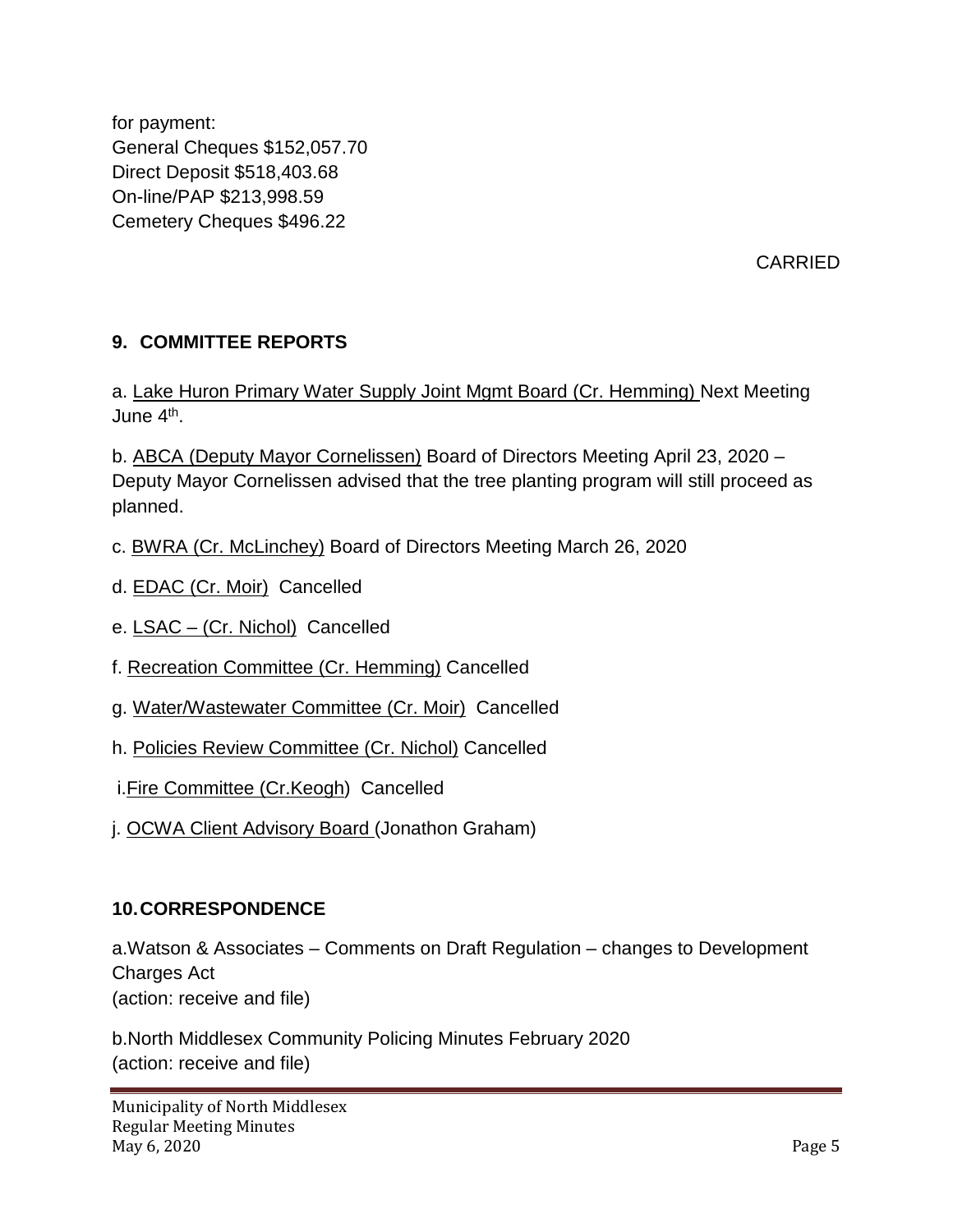for payment: General Cheques \$152,057.70 Direct Deposit \$518,403.68 On-line/PAP \$213,998.59 Cemetery Cheques \$496.22

CARRIED

# **9. COMMITTEE REPORTS**

a. Lake Huron Primary Water Supply Joint Mgmt Board (Cr. Hemming) Next Meeting June 4th.

b. ABCA (Deputy Mayor Cornelissen) Board of Directors Meeting April 23, 2020 – Deputy Mayor Cornelissen advised that the tree planting program will still proceed as planned.

- c. BWRA (Cr. McLinchey) Board of Directors Meeting March 26, 2020
- d. EDAC (Cr. Moir) Cancelled
- e. LSAC (Cr. Nichol) Cancelled
- f. Recreation Committee (Cr. Hemming) Cancelled
- g. Water/Wastewater Committee (Cr. Moir) Cancelled
- h. Policies Review Committee (Cr. Nichol) Cancelled
- i.Fire Committee (Cr.Keogh) Cancelled
- j. OCWA Client Advisory Board (Jonathon Graham)

#### **10.CORRESPONDENCE**

a.Watson & Associates – Comments on Draft Regulation – changes to Development Charges Act (action: receive and file)

b.North Middlesex Community Policing Minutes February 2020 (action: receive and file)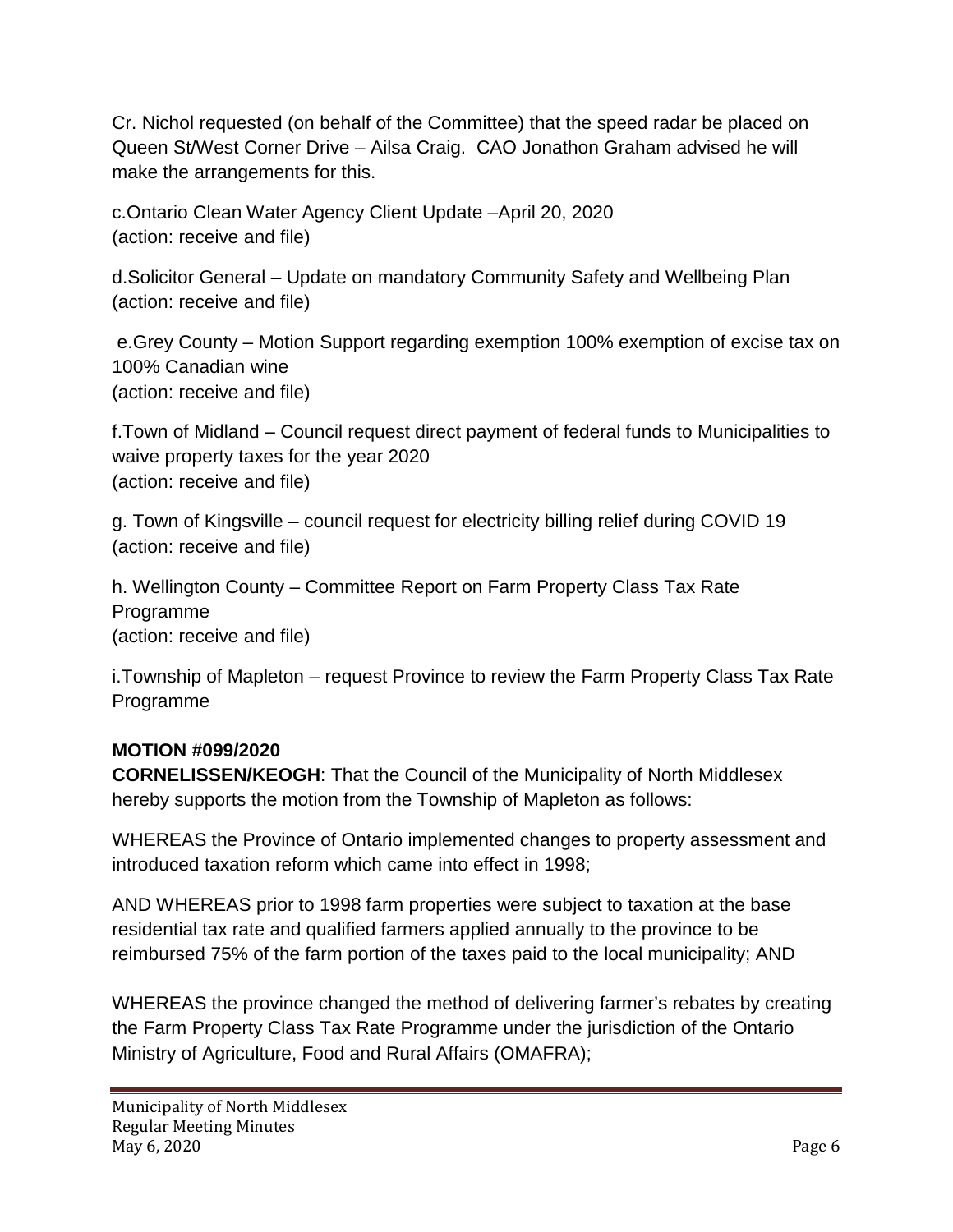Cr. Nichol requested (on behalf of the Committee) that the speed radar be placed on Queen St/West Corner Drive – Ailsa Craig. CAO Jonathon Graham advised he will make the arrangements for this.

c.Ontario Clean Water Agency Client Update –April 20, 2020 (action: receive and file)

d.Solicitor General – Update on mandatory Community Safety and Wellbeing Plan (action: receive and file)

e.Grey County – Motion Support regarding exemption 100% exemption of excise tax on 100% Canadian wine (action: receive and file)

f.Town of Midland – Council request direct payment of federal funds to Municipalities to waive property taxes for the year 2020 (action: receive and file)

g. Town of Kingsville – council request for electricity billing relief during COVID 19 (action: receive and file)

h. Wellington County – Committee Report on Farm Property Class Tax Rate Programme (action: receive and file)

i.Township of Mapleton – request Province to review the Farm Property Class Tax Rate Programme

# **MOTION #099/2020**

**CORNELISSEN/KEOGH**: That the Council of the Municipality of North Middlesex hereby supports the motion from the Township of Mapleton as follows:

WHEREAS the Province of Ontario implemented changes to property assessment and introduced taxation reform which came into effect in 1998;

AND WHEREAS prior to 1998 farm properties were subject to taxation at the base residential tax rate and qualified farmers applied annually to the province to be reimbursed 75% of the farm portion of the taxes paid to the local municipality; AND

WHEREAS the province changed the method of delivering farmer's rebates by creating the Farm Property Class Tax Rate Programme under the jurisdiction of the Ontario Ministry of Agriculture, Food and Rural Affairs (OMAFRA);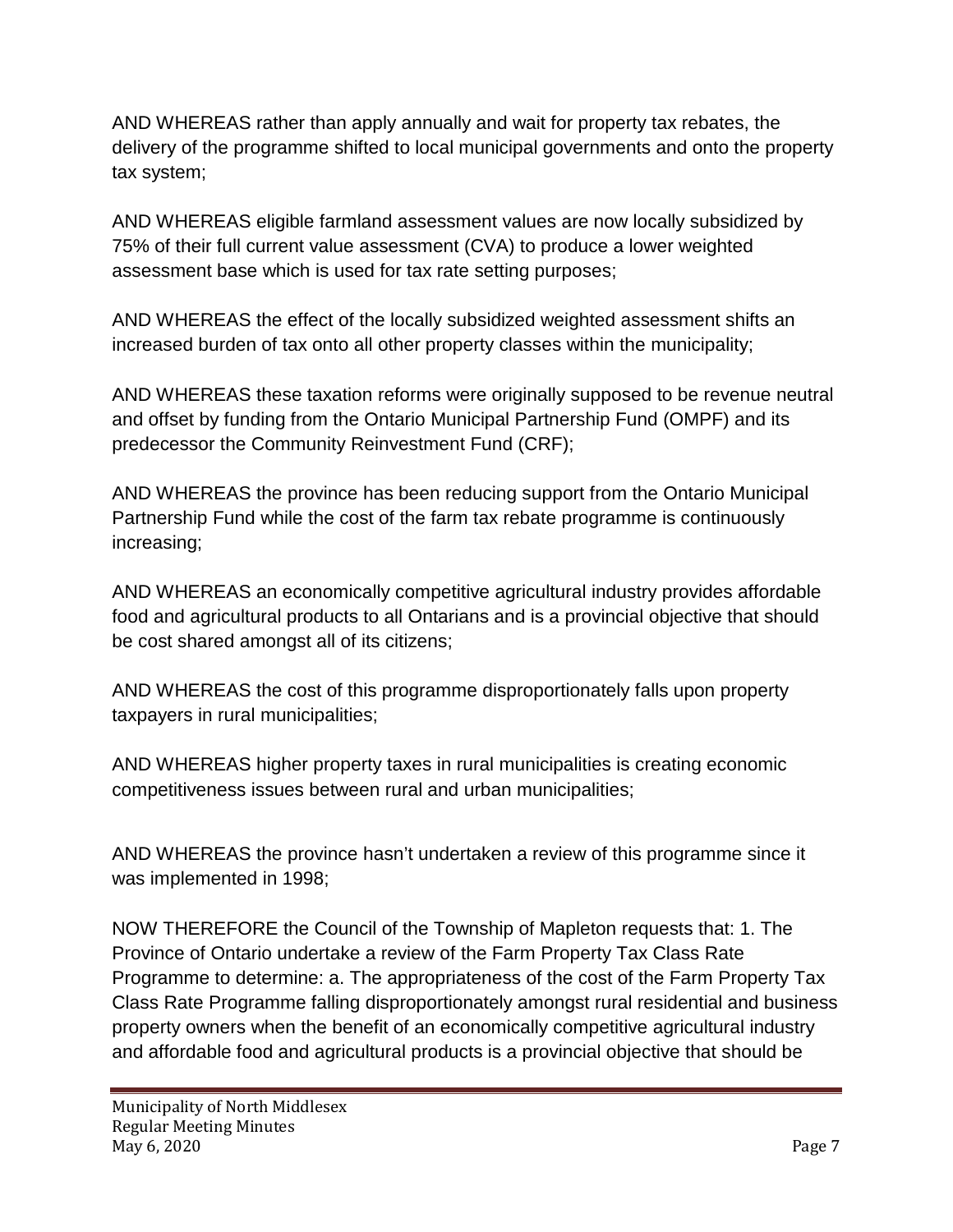AND WHEREAS rather than apply annually and wait for property tax rebates, the delivery of the programme shifted to local municipal governments and onto the property tax system;

AND WHEREAS eligible farmland assessment values are now locally subsidized by 75% of their full current value assessment (CVA) to produce a lower weighted assessment base which is used for tax rate setting purposes;

AND WHEREAS the effect of the locally subsidized weighted assessment shifts an increased burden of tax onto all other property classes within the municipality;

AND WHEREAS these taxation reforms were originally supposed to be revenue neutral and offset by funding from the Ontario Municipal Partnership Fund (OMPF) and its predecessor the Community Reinvestment Fund (CRF);

AND WHEREAS the province has been reducing support from the Ontario Municipal Partnership Fund while the cost of the farm tax rebate programme is continuously increasing;

AND WHEREAS an economically competitive agricultural industry provides affordable food and agricultural products to all Ontarians and is a provincial objective that should be cost shared amongst all of its citizens;

AND WHEREAS the cost of this programme disproportionately falls upon property taxpayers in rural municipalities;

AND WHEREAS higher property taxes in rural municipalities is creating economic competitiveness issues between rural and urban municipalities;

AND WHEREAS the province hasn't undertaken a review of this programme since it was implemented in 1998;

NOW THEREFORE the Council of the Township of Mapleton requests that: 1. The Province of Ontario undertake a review of the Farm Property Tax Class Rate Programme to determine: a. The appropriateness of the cost of the Farm Property Tax Class Rate Programme falling disproportionately amongst rural residential and business property owners when the benefit of an economically competitive agricultural industry and affordable food and agricultural products is a provincial objective that should be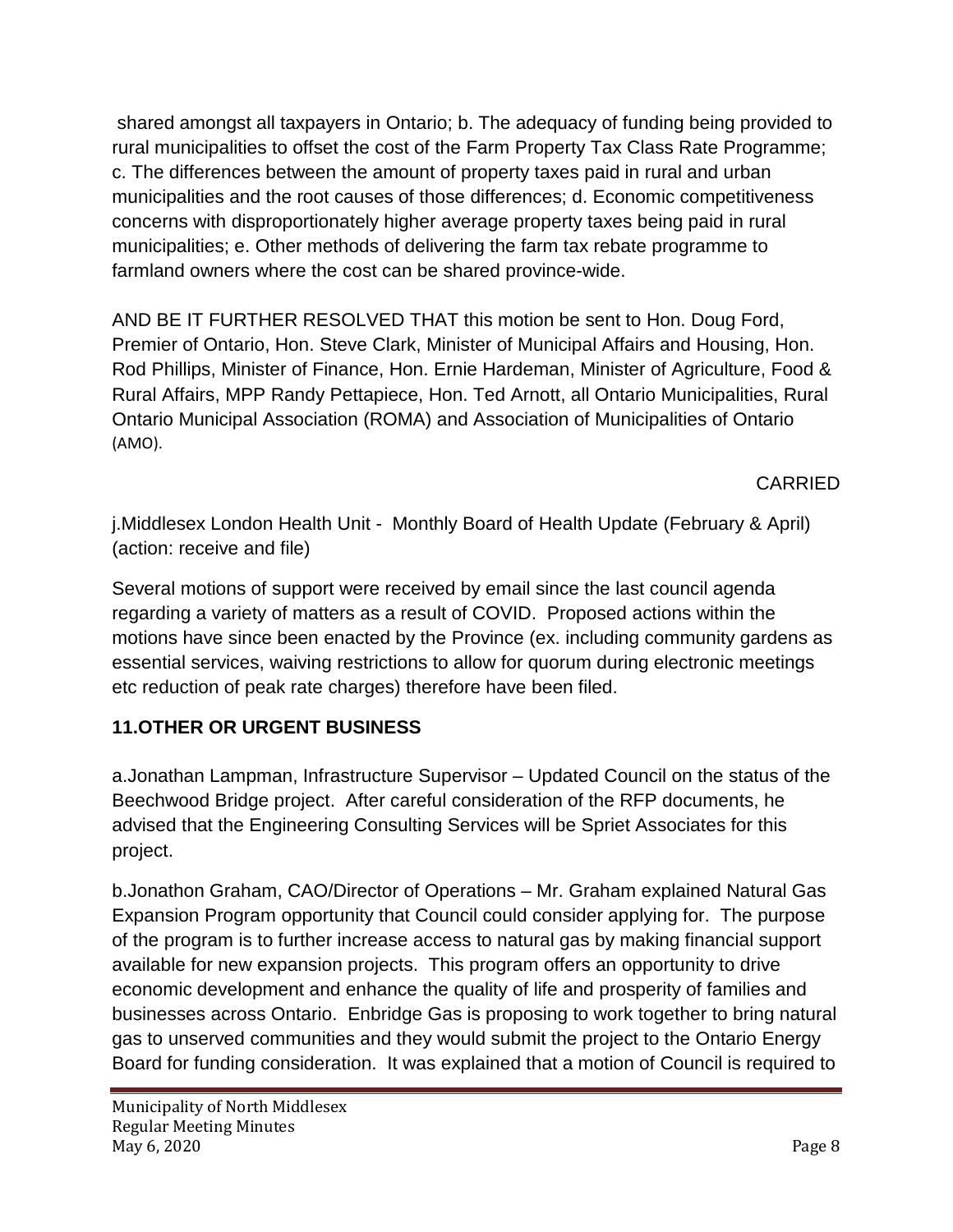shared amongst all taxpayers in Ontario; b. The adequacy of funding being provided to rural municipalities to offset the cost of the Farm Property Tax Class Rate Programme; c. The differences between the amount of property taxes paid in rural and urban municipalities and the root causes of those differences; d. Economic competitiveness concerns with disproportionately higher average property taxes being paid in rural municipalities; e. Other methods of delivering the farm tax rebate programme to farmland owners where the cost can be shared province-wide.

AND BE IT FURTHER RESOLVED THAT this motion be sent to Hon. Doug Ford, Premier of Ontario, Hon. Steve Clark, Minister of Municipal Affairs and Housing, Hon. Rod Phillips, Minister of Finance, Hon. Ernie Hardeman, Minister of Agriculture, Food & Rural Affairs, MPP Randy Pettapiece, Hon. Ted Arnott, all Ontario Municipalities, Rural Ontario Municipal Association (ROMA) and Association of Municipalities of Ontario (AMO).

CARRIED

j.Middlesex London Health Unit - Monthly Board of Health Update (February & April) (action: receive and file)

Several motions of support were received by email since the last council agenda regarding a variety of matters as a result of COVID. Proposed actions within the motions have since been enacted by the Province (ex. including community gardens as essential services, waiving restrictions to allow for quorum during electronic meetings etc reduction of peak rate charges) therefore have been filed.

# **11.OTHER OR URGENT BUSINESS**

a.Jonathan Lampman, Infrastructure Supervisor – Updated Council on the status of the Beechwood Bridge project. After careful consideration of the RFP documents, he advised that the Engineering Consulting Services will be Spriet Associates for this project.

b.Jonathon Graham, CAO/Director of Operations – Mr. Graham explained Natural Gas Expansion Program opportunity that Council could consider applying for. The purpose of the program is to further increase access to natural gas by making financial support available for new expansion projects. This program offers an opportunity to drive economic development and enhance the quality of life and prosperity of families and businesses across Ontario. Enbridge Gas is proposing to work together to bring natural gas to unserved communities and they would submit the project to the Ontario Energy Board for funding consideration. It was explained that a motion of Council is required to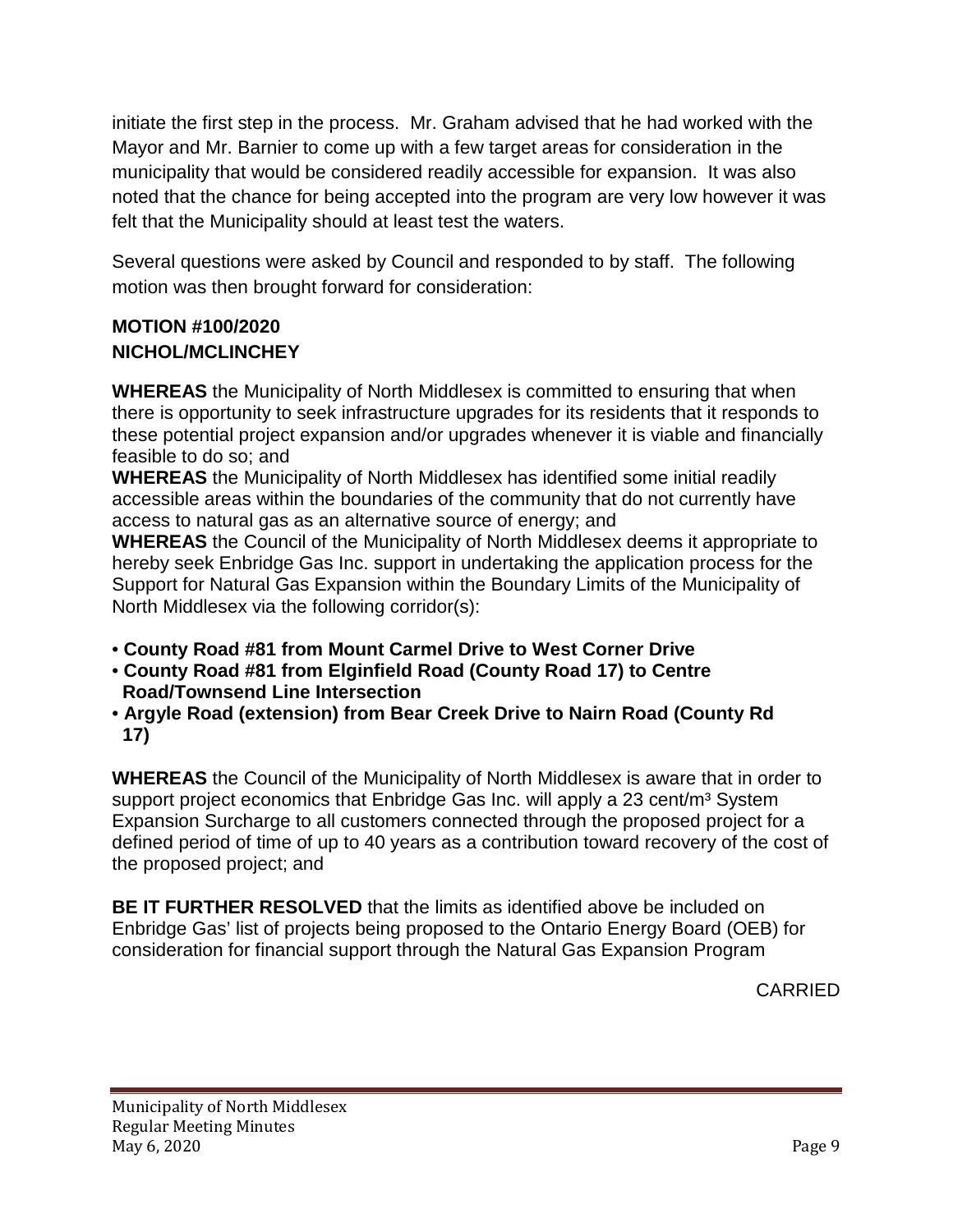initiate the first step in the process. Mr. Graham advised that he had worked with the Mayor and Mr. Barnier to come up with a few target areas for consideration in the municipality that would be considered readily accessible for expansion. It was also noted that the chance for being accepted into the program are very low however it was felt that the Municipality should at least test the waters.

Several questions were asked by Council and responded to by staff. The following motion was then brought forward for consideration:

## **MOTION #100/2020 NICHOL/MCLINCHEY**

**WHEREAS** the Municipality of North Middlesex is committed to ensuring that when there is opportunity to seek infrastructure upgrades for its residents that it responds to these potential project expansion and/or upgrades whenever it is viable and financially feasible to do so; and

**WHEREAS** the Municipality of North Middlesex has identified some initial readily accessible areas within the boundaries of the community that do not currently have access to natural gas as an alternative source of energy; and

**WHEREAS** the Council of the Municipality of North Middlesex deems it appropriate to hereby seek Enbridge Gas Inc. support in undertaking the application process for the Support for Natural Gas Expansion within the Boundary Limits of the Municipality of North Middlesex via the following corridor(s):

- **County Road #81 from Mount Carmel Drive to West Corner Drive**
- **County Road #81 from Elginfield Road (County Road 17) to Centre Road/Townsend Line Intersection**
- **Argyle Road (extension) from Bear Creek Drive to Nairn Road (County Rd 17)**

**WHEREAS** the Council of the Municipality of North Middlesex is aware that in order to support project economics that Enbridge Gas Inc. will apply a 23 cent/m<sup>3</sup> System Expansion Surcharge to all customers connected through the proposed project for a defined period of time of up to 40 years as a contribution toward recovery of the cost of the proposed project; and

**BE IT FURTHER RESOLVED** that the limits as identified above be included on Enbridge Gas' list of projects being proposed to the Ontario Energy Board (OEB) for consideration for financial support through the Natural Gas Expansion Program

CARRIED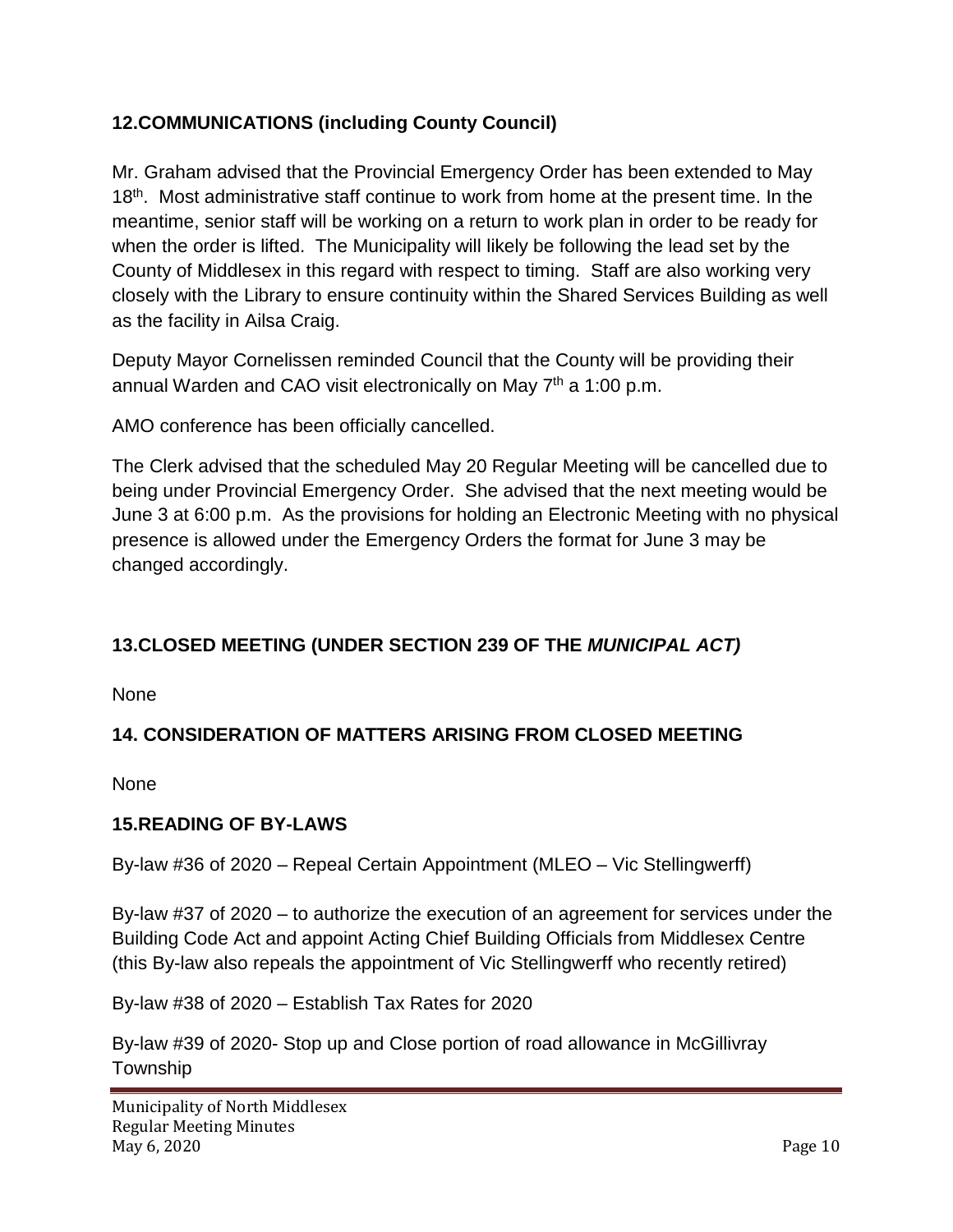# **12.COMMUNICATIONS (including County Council)**

Mr. Graham advised that the Provincial Emergency Order has been extended to May 18<sup>th</sup>. Most administrative staff continue to work from home at the present time. In the meantime, senior staff will be working on a return to work plan in order to be ready for when the order is lifted. The Municipality will likely be following the lead set by the County of Middlesex in this regard with respect to timing. Staff are also working very closely with the Library to ensure continuity within the Shared Services Building as well as the facility in Ailsa Craig.

Deputy Mayor Cornelissen reminded Council that the County will be providing their annual Warden and CAO visit electronically on May  $7<sup>th</sup>$  a 1:00 p.m.

AMO conference has been officially cancelled.

The Clerk advised that the scheduled May 20 Regular Meeting will be cancelled due to being under Provincial Emergency Order. She advised that the next meeting would be June 3 at 6:00 p.m. As the provisions for holding an Electronic Meeting with no physical presence is allowed under the Emergency Orders the format for June 3 may be changed accordingly.

# **13.CLOSED MEETING (UNDER SECTION 239 OF THE** *MUNICIPAL ACT)*

None

# **14. CONSIDERATION OF MATTERS ARISING FROM CLOSED MEETING**

None

# **15.READING OF BY-LAWS**

By-law #36 of 2020 – Repeal Certain Appointment (MLEO – Vic Stellingwerff)

By-law #37 of 2020 – to authorize the execution of an agreement for services under the Building Code Act and appoint Acting Chief Building Officials from Middlesex Centre (this By-law also repeals the appointment of Vic Stellingwerff who recently retired)

By-law #38 of 2020 – Establish Tax Rates for 2020

By-law #39 of 2020- Stop up and Close portion of road allowance in McGillivray Township